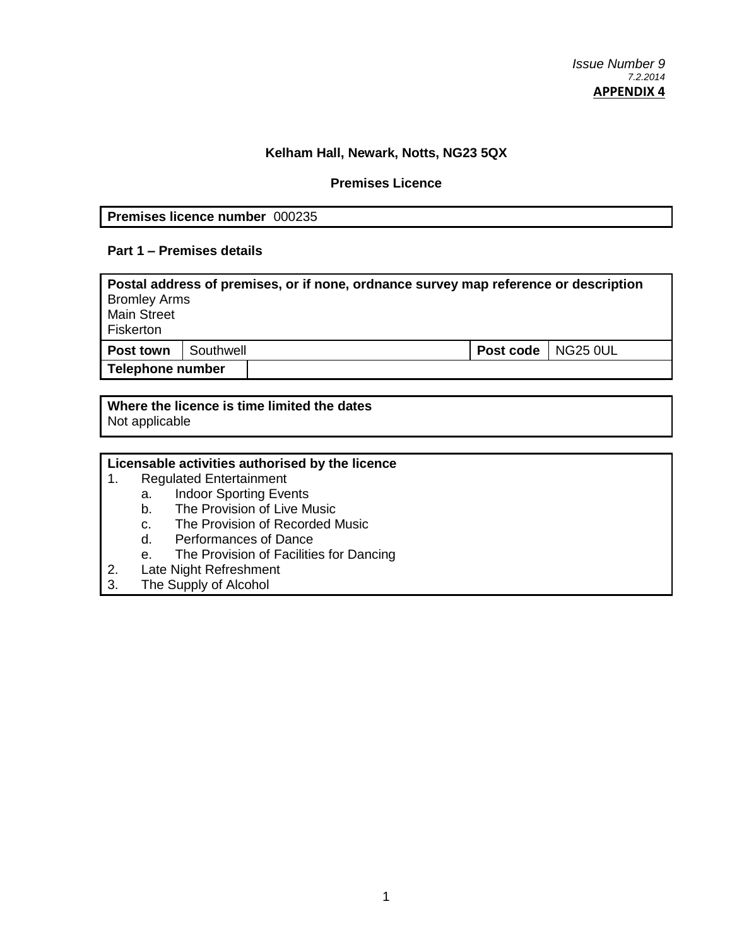## **Kelham Hall, Newark, Notts, NG23 5QX**

### **Premises Licence**

### **Premises licence number** 000235

### **Part 1 – Premises details**

| Postal address of premises, or if none, ordnance survey map reference or description<br><b>Bromley Arms</b><br><b>Main Street</b><br>Fiskerton |           |  |                      |  |
|------------------------------------------------------------------------------------------------------------------------------------------------|-----------|--|----------------------|--|
| Post town                                                                                                                                      | Southwell |  | Post code   NG25 0UL |  |
| Telephone number                                                                                                                               |           |  |                      |  |

### **Where the licence is time limited the dates** Not applicable

# **Licensable activities authorised by the licence**

- 1. Regulated Entertainment
	- a. Indoor Sporting Events
	- b. The Provision of Live Music
	- c. The Provision of Recorded Music
	- d. Performances of Dance
	- e. The Provision of Facilities for Dancing
- 2. Late Night Refreshment
- 3. The Supply of Alcohol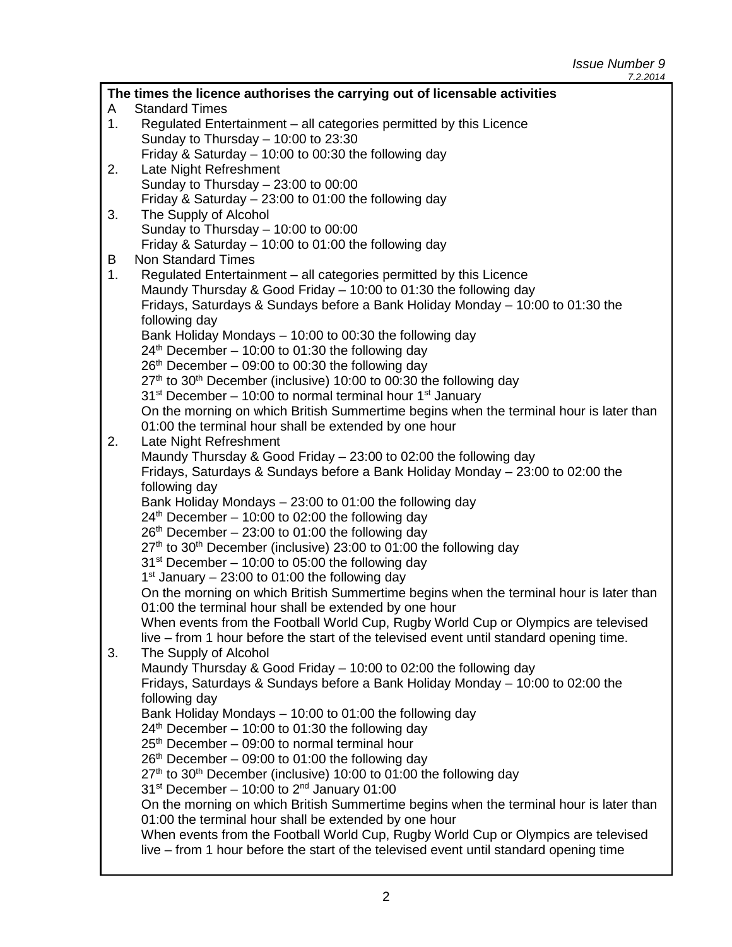*Issue Number 9 7.2.2014*

| The times the licence authorises the carrying out of licensable activities |                                                                                                                                                                              |  |  |
|----------------------------------------------------------------------------|------------------------------------------------------------------------------------------------------------------------------------------------------------------------------|--|--|
| A                                                                          | <b>Standard Times</b>                                                                                                                                                        |  |  |
| 1.                                                                         | Regulated Entertainment – all categories permitted by this Licence                                                                                                           |  |  |
|                                                                            | Sunday to Thursday $-$ 10:00 to 23:30                                                                                                                                        |  |  |
|                                                                            | Friday & Saturday - 10:00 to 00:30 the following day                                                                                                                         |  |  |
| 2.                                                                         | Late Night Refreshment                                                                                                                                                       |  |  |
|                                                                            | Sunday to Thursday $-23:00$ to 00:00                                                                                                                                         |  |  |
|                                                                            | Friday & Saturday - 23:00 to 01:00 the following day                                                                                                                         |  |  |
| 3.                                                                         | The Supply of Alcohol                                                                                                                                                        |  |  |
|                                                                            | Sunday to Thursday $-$ 10:00 to 00:00                                                                                                                                        |  |  |
|                                                                            | Friday & Saturday - 10:00 to 01:00 the following day                                                                                                                         |  |  |
| B                                                                          | <b>Non Standard Times</b>                                                                                                                                                    |  |  |
| 1.                                                                         | Regulated Entertainment – all categories permitted by this Licence                                                                                                           |  |  |
|                                                                            | Maundy Thursday & Good Friday – 10:00 to 01:30 the following day                                                                                                             |  |  |
|                                                                            | Fridays, Saturdays & Sundays before a Bank Holiday Monday - 10:00 to 01:30 the                                                                                               |  |  |
|                                                                            | following day                                                                                                                                                                |  |  |
|                                                                            | Bank Holiday Mondays - 10:00 to 00:30 the following day                                                                                                                      |  |  |
|                                                                            | $24th$ December – 10:00 to 01:30 the following day                                                                                                                           |  |  |
|                                                                            | $26th$ December – 09:00 to 00:30 the following day                                                                                                                           |  |  |
|                                                                            | 27 <sup>th</sup> to 30 <sup>th</sup> December (inclusive) 10:00 to 00:30 the following day                                                                                   |  |  |
|                                                                            | $31st$ December – 10:00 to normal terminal hour 1 <sup>st</sup> January                                                                                                      |  |  |
|                                                                            | On the morning on which British Summertime begins when the terminal hour is later than                                                                                       |  |  |
| 2.                                                                         | 01:00 the terminal hour shall be extended by one hour                                                                                                                        |  |  |
|                                                                            | Late Night Refreshment<br>Maundy Thursday & Good Friday - 23:00 to 02:00 the following day                                                                                   |  |  |
|                                                                            | Fridays, Saturdays & Sundays before a Bank Holiday Monday - 23:00 to 02:00 the                                                                                               |  |  |
|                                                                            | following day                                                                                                                                                                |  |  |
|                                                                            | Bank Holiday Mondays - 23:00 to 01:00 the following day                                                                                                                      |  |  |
|                                                                            | $24th$ December – 10:00 to 02:00 the following day                                                                                                                           |  |  |
|                                                                            | $26th$ December – 23:00 to 01:00 the following day                                                                                                                           |  |  |
|                                                                            | 27 <sup>th</sup> to 30 <sup>th</sup> December (inclusive) 23:00 to 01:00 the following day                                                                                   |  |  |
|                                                                            | $31st$ December – 10:00 to 05:00 the following day                                                                                                                           |  |  |
|                                                                            | $1st$ January – 23:00 to 01:00 the following day                                                                                                                             |  |  |
|                                                                            | On the morning on which British Summertime begins when the terminal hour is later than                                                                                       |  |  |
|                                                                            | 01:00 the terminal hour shall be extended by one hour                                                                                                                        |  |  |
|                                                                            | When events from the Football World Cup, Rugby World Cup or Olympics are televised                                                                                           |  |  |
|                                                                            | live – from 1 hour before the start of the televised event until standard opening time.                                                                                      |  |  |
| 3.                                                                         | The Supply of Alcohol                                                                                                                                                        |  |  |
|                                                                            | Maundy Thursday & Good Friday - 10:00 to 02:00 the following day                                                                                                             |  |  |
|                                                                            | Fridays, Saturdays & Sundays before a Bank Holiday Monday - 10:00 to 02:00 the                                                                                               |  |  |
|                                                                            | following day                                                                                                                                                                |  |  |
|                                                                            | Bank Holiday Mondays - 10:00 to 01:00 the following day                                                                                                                      |  |  |
|                                                                            | $24th$ December – 10:00 to 01:30 the following day                                                                                                                           |  |  |
|                                                                            | 25 <sup>th</sup> December – 09:00 to normal terminal hour                                                                                                                    |  |  |
|                                                                            | $26th$ December – 09:00 to 01:00 the following day                                                                                                                           |  |  |
|                                                                            | 27 <sup>th</sup> to 30 <sup>th</sup> December (inclusive) 10:00 to 01:00 the following day                                                                                   |  |  |
|                                                                            | $31st$ December - 10:00 to $2nd$ January 01:00                                                                                                                               |  |  |
|                                                                            | On the morning on which British Summertime begins when the terminal hour is later than                                                                                       |  |  |
|                                                                            | 01:00 the terminal hour shall be extended by one hour                                                                                                                        |  |  |
|                                                                            | When events from the Football World Cup, Rugby World Cup or Olympics are televised<br>live - from 1 hour before the start of the televised event until standard opening time |  |  |
|                                                                            |                                                                                                                                                                              |  |  |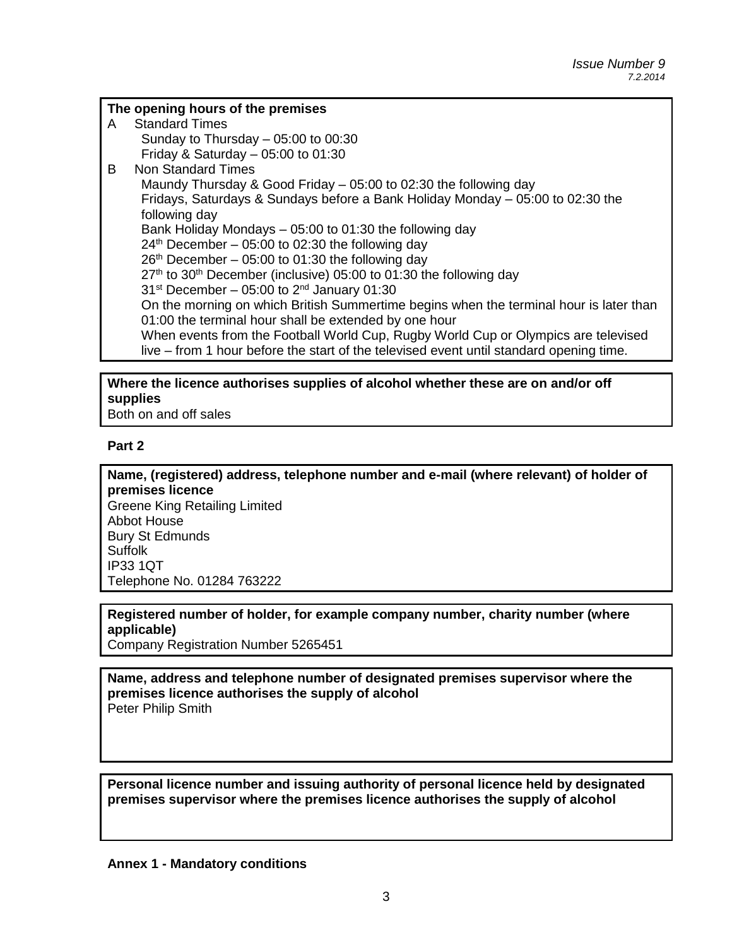### **The opening hours of the premises**

A Standard Times Sunday to Thursday – 05:00 to 00:30 Friday & Saturday  $-05:00$  to  $01:30$ B Non Standard Times Maundy Thursday & Good Friday – 05:00 to 02:30 the following day Fridays, Saturdays & Sundays before a Bank Holiday Monday – 05:00 to 02:30 the following day Bank Holiday Mondays – 05:00 to 01:30 the following day  $24<sup>th</sup>$  December – 05:00 to 02:30 the following day  $26<sup>th</sup>$  December – 05:00 to 01:30 the following day  $27<sup>th</sup>$  to 30<sup>th</sup> December (inclusive) 05:00 to 01:30 the following day  $31<sup>st</sup>$  December – 05:00 to  $2<sup>nd</sup>$  January 01:30 On the morning on which British Summertime begins when the terminal hour is later than 01:00 the terminal hour shall be extended by one hour When events from the Football World Cup, Rugby World Cup or Olympics are televised live – from 1 hour before the start of the televised event until standard opening time.

# **Where the licence authorises supplies of alcohol whether these are on and/or off supplies**

Both on and off sales

### **Part 2**

**Name, (registered) address, telephone number and e-mail (where relevant) of holder of premises licence** Greene King Retailing Limited Abbot House Bury St Edmunds Suffolk IP33 1QT Telephone No. 01284 763222

### **Registered number of holder, for example company number, charity number (where applicable)**

Company Registration Number 5265451

**Name, address and telephone number of designated premises supervisor where the premises licence authorises the supply of alcohol** Peter Philip Smith

**Personal licence number and issuing authority of personal licence held by designated premises supervisor where the premises licence authorises the supply of alcohol**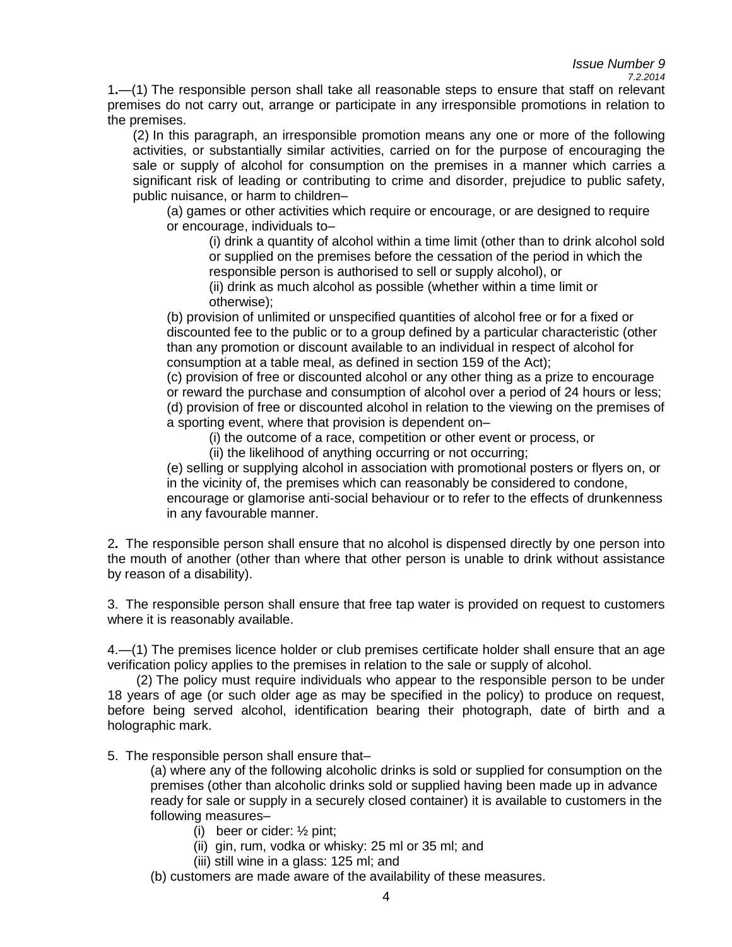# *Issue Number 9*

*7.2.2014*

1**.**—(1) The responsible person shall take all reasonable steps to ensure that staff on relevant premises do not carry out, arrange or participate in any irresponsible promotions in relation to the premises.

(2) In this paragraph, an irresponsible promotion means any one or more of the following activities, or substantially similar activities, carried on for the purpose of encouraging the sale or supply of alcohol for consumption on the premises in a manner which carries a significant risk of leading or contributing to crime and disorder, prejudice to public safety, public nuisance, or harm to children–

(a) games or other activities which require or encourage, or are designed to require or encourage, individuals to–

(i) drink a quantity of alcohol within a time limit (other than to drink alcohol sold or supplied on the premises before the cessation of the period in which the responsible person is authorised to sell or supply alcohol), or

(ii) drink as much alcohol as possible (whether within a time limit or otherwise);

(b) provision of unlimited or unspecified quantities of alcohol free or for a fixed or discounted fee to the public or to a group defined by a particular characteristic (other than any promotion or discount available to an individual in respect of alcohol for consumption at a table meal, as defined in section 159 of the Act);

(c) provision of free or discounted alcohol or any other thing as a prize to encourage or reward the purchase and consumption of alcohol over a period of 24 hours or less; (d) provision of free or discounted alcohol in relation to the viewing on the premises of a sporting event, where that provision is dependent on–

(i) the outcome of a race, competition or other event or process, or

(ii) the likelihood of anything occurring or not occurring;

(e) selling or supplying alcohol in association with promotional posters or flyers on, or in the vicinity of, the premises which can reasonably be considered to condone, encourage or glamorise anti-social behaviour or to refer to the effects of drunkenness in any favourable manner.

2**.** The responsible person shall ensure that no alcohol is dispensed directly by one person into the mouth of another (other than where that other person is unable to drink without assistance by reason of a disability).

3. The responsible person shall ensure that free tap water is provided on request to customers where it is reasonably available.

4.—(1) The premises licence holder or club premises certificate holder shall ensure that an age verification policy applies to the premises in relation to the sale or supply of alcohol.

 (2) The policy must require individuals who appear to the responsible person to be under 18 years of age (or such older age as may be specified in the policy) to produce on request, before being served alcohol, identification bearing their photograph, date of birth and a holographic mark.

5. The responsible person shall ensure that–

(a) where any of the following alcoholic drinks is sold or supplied for consumption on the premises (other than alcoholic drinks sold or supplied having been made up in advance ready for sale or supply in a securely closed container) it is available to customers in the following measures–

- (i) beer or cider: ½ pint;
- (ii) gin, rum, vodka or whisky: 25 ml or 35 ml; and
- (iii) still wine in a glass: 125 ml; and

(b) customers are made aware of the availability of these measures.